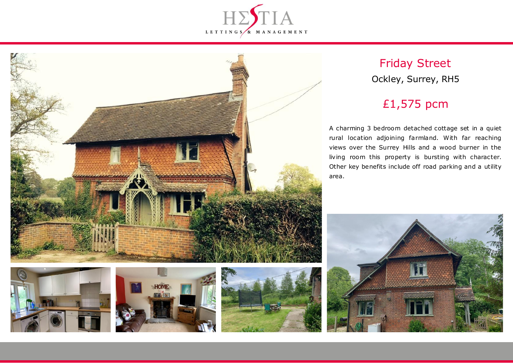



# Friday Street Ockley, Surrey, RH5

# £1,575 pcm

A charming 3 bedroom detached cottage set in a quiet rural location adjoining farmland. With far reaching views over the Surrey Hills and a wood burner in the living room this property is bursting with character. Other key benefits include off road parking and a utility area.







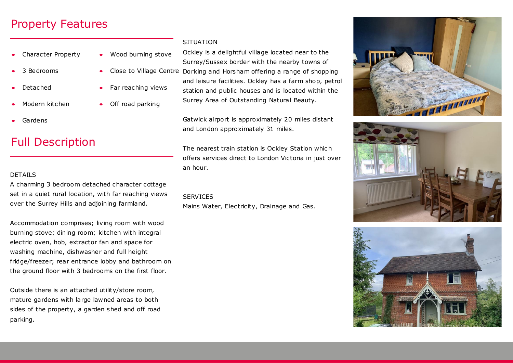### Property Features

- Character Property
- 3 Bedrooms
- Detached
- Modern kitchen
- Gardens

## Full Description

### DETAILS

A charming 3 bedroom detached character cottage set in a quiet rural location, with far reaching views over the Surrey Hills and adjoining farmland.

Accommodation comprises; living room with wood burning stove; dining room; kitchen with integral electric oven, hob, extractor fan and space for washing machine, dishwasher and full height fridge/freezer; rear entrance lobby and bathroom on the ground floor with 3 bedrooms on the first floor.

Outside there is an attached utility/store room, mature gardens with large lawned areas to both sides of the property, a garden shed and off road parking.

#### **SITUATION**

Far reaching views

• Off road parking

 Wood burning stove • Close to Village Centre Dorking and Horsham offering a range of shopping Ockley is a delightful village located near to the Surrey/Sussex border with the nearby towns of and leisure facilities. Ockley has a farm shop, petrol station and public houses and is located within the Surrey Area of Outstanding Natural Beauty.

> Gatwick airport is approximately 20 miles distant and London approximately 31 miles.

The nearest train station is Ockley Station which offers services direct to London Victoria in just over an hour.

#### **SERVICES**

Mains Water, Electricity, Drainage and Gas.





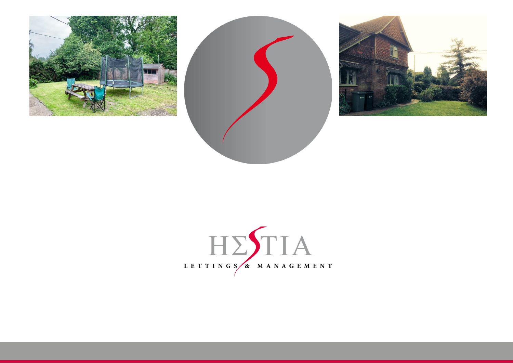